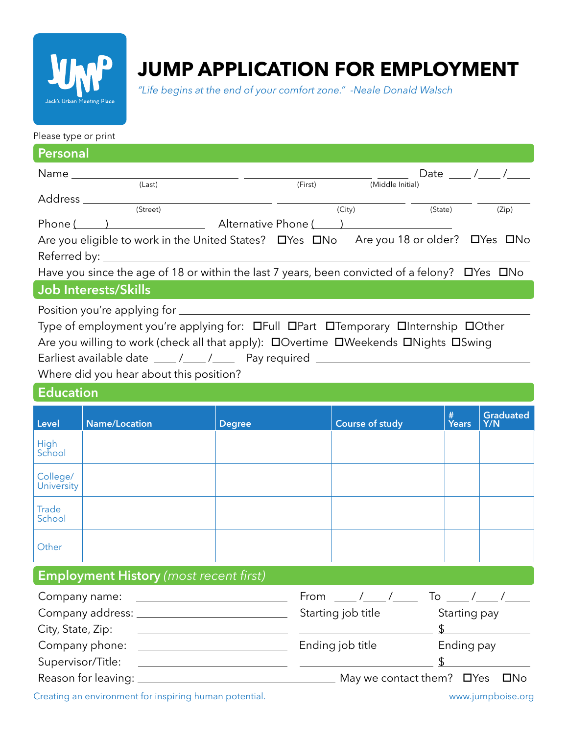

# **JUMP APPLICATION FOR EMPLOYMENT**

*"Life begins at the end of your comfort zone." -Neale Donald Walsch*

#### Please type or print

| Personal                                                                                                                                                                                                                                                    |                                                                                                                                                                                                                                                                                                                                                                         |               |                                        |            |                                  |  |  |
|-------------------------------------------------------------------------------------------------------------------------------------------------------------------------------------------------------------------------------------------------------------|-------------------------------------------------------------------------------------------------------------------------------------------------------------------------------------------------------------------------------------------------------------------------------------------------------------------------------------------------------------------------|---------------|----------------------------------------|------------|----------------------------------|--|--|
|                                                                                                                                                                                                                                                             |                                                                                                                                                                                                                                                                                                                                                                         |               |                                        |            | Date $\frac{\ }{\ }$ /____ /____ |  |  |
|                                                                                                                                                                                                                                                             | (Last)                                                                                                                                                                                                                                                                                                                                                                  | (First)       | $\sqrt{\frac{1}{10}}$ (Middle Initial) |            |                                  |  |  |
|                                                                                                                                                                                                                                                             | $Address \begin{picture}(150,10) \put(0,0){\vector(1,0){100}} \put(15,0){\vector(1,0){100}} \put(15,0){\vector(1,0){100}} \put(15,0){\vector(1,0){100}} \put(15,0){\vector(1,0){100}} \put(15,0){\vector(1,0){100}} \put(15,0){\vector(1,0){100}} \put(15,0){\vector(1,0){100}} \put(15,0){\vector(1,0){100}} \put(15,0){\vector(1,0){100}} \put(15,0){\vector(1,0){10$ |               | (City)                                 | (State)    | (Zip)                            |  |  |
| Phone () Alternative Phone ()                                                                                                                                                                                                                               |                                                                                                                                                                                                                                                                                                                                                                         |               |                                        |            |                                  |  |  |
| Are you eligible to work in the United States? □ Yes □ No Are you 18 or older? □ Yes □ No                                                                                                                                                                   |                                                                                                                                                                                                                                                                                                                                                                         |               |                                        |            |                                  |  |  |
| Have you since the age of 18 or within the last 7 years, been convicted of a felony? DYes DNo                                                                                                                                                               |                                                                                                                                                                                                                                                                                                                                                                         |               |                                        |            |                                  |  |  |
| <b>Job Interests/Skills</b>                                                                                                                                                                                                                                 |                                                                                                                                                                                                                                                                                                                                                                         |               |                                        |            |                                  |  |  |
| Type of employment you're applying for: OFull OPart OTemporary OInternship OOther<br>Are you willing to work (check all that apply): DOvertime DWeekends DNights DSwing<br>Earliest available date ____/___/____ Pay required _____________________________ |                                                                                                                                                                                                                                                                                                                                                                         |               |                                        |            |                                  |  |  |
|                                                                                                                                                                                                                                                             |                                                                                                                                                                                                                                                                                                                                                                         |               |                                        |            |                                  |  |  |
| <b>Education</b>                                                                                                                                                                                                                                            |                                                                                                                                                                                                                                                                                                                                                                         |               |                                        |            |                                  |  |  |
| Level                                                                                                                                                                                                                                                       | <b>Name/Location</b>                                                                                                                                                                                                                                                                                                                                                    | <b>Degree</b> | <b>Course of study</b>                 | #<br>Years | <b>Graduated</b><br>Y/N          |  |  |
| High<br>School                                                                                                                                                                                                                                              |                                                                                                                                                                                                                                                                                                                                                                         |               |                                        |            |                                  |  |  |
| College/<br>University                                                                                                                                                                                                                                      |                                                                                                                                                                                                                                                                                                                                                                         |               |                                        |            |                                  |  |  |
| <b>Trade</b><br>School                                                                                                                                                                                                                                      |                                                                                                                                                                                                                                                                                                                                                                         |               |                                        |            |                                  |  |  |
| Other                                                                                                                                                                                                                                                       |                                                                                                                                                                                                                                                                                                                                                                         |               |                                        |            |                                  |  |  |
|                                                                                                                                                                                                                                                             | <b>Employment History</b> (most recent first)                                                                                                                                                                                                                                                                                                                           |               |                                        |            |                                  |  |  |
| Company name:                                                                                                                                                                                                                                               |                                                                                                                                                                                                                                                                                                                                                                         | From          | __ /____ /_____ To ____ /____ /_       |            |                                  |  |  |

| Company address. __ | <b>Starting lop title</b> | <b>Starting pay</b>                       |
|---------------------|---------------------------|-------------------------------------------|
| City, State, Zip:   |                           |                                           |
| Company phone:      | Ending job title          | Ending pay                                |
| Supervisor/Title:   |                           |                                           |
| Reason for leaving: |                           | May we contact them? $\Box$ Yes $\Box$ No |

Creating an environment for inspiring human potential. www.jumpboise.org